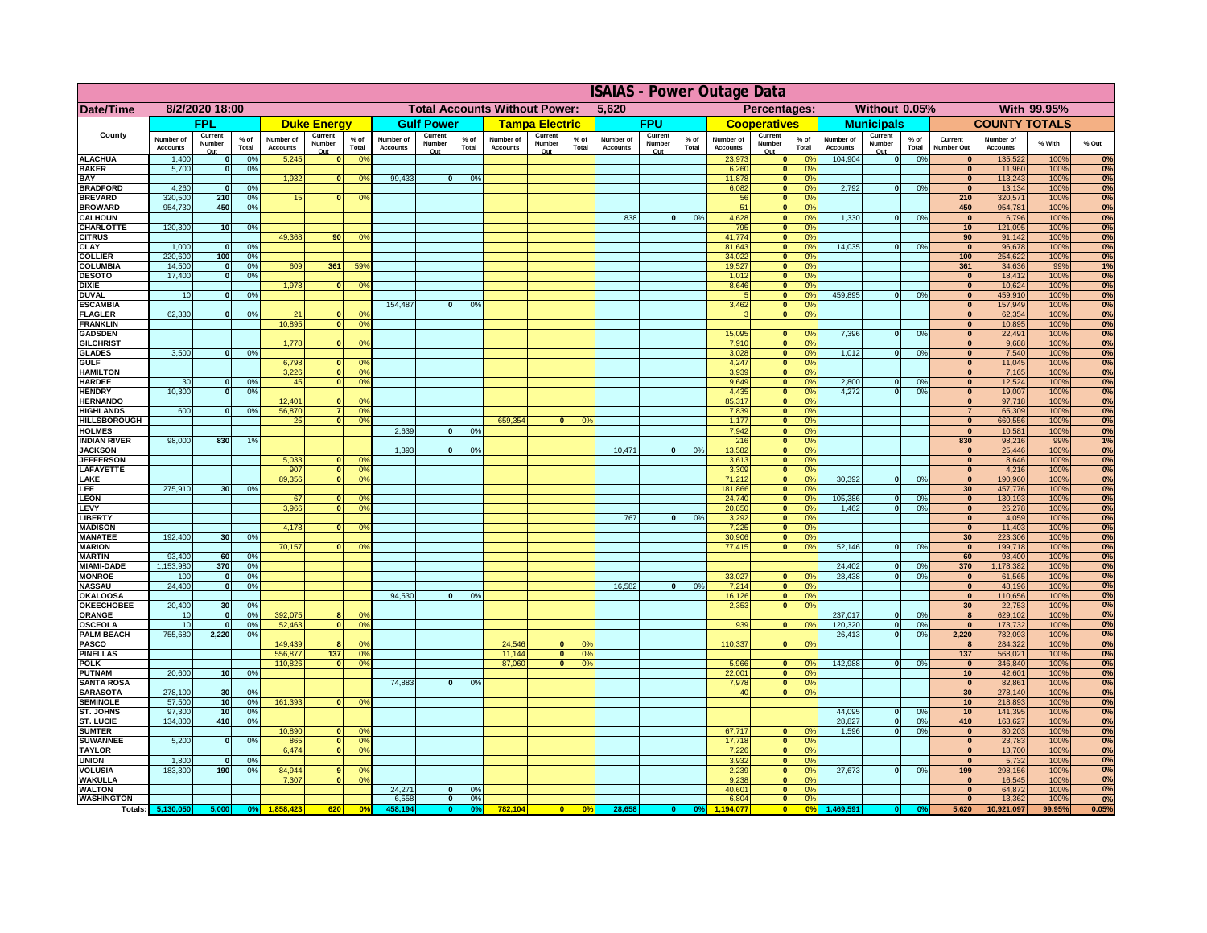|                                      | <b>ISAIAS - Power Outage Data</b> |                          |                      |                              |                                  |                                  |                                               |                          |                 |                              |                          |                                              |                              |                          |                      |                              |                                                    |                      |                              |                                |                 |                              |                              |              |          |
|--------------------------------------|-----------------------------------|--------------------------|----------------------|------------------------------|----------------------------------|----------------------------------|-----------------------------------------------|--------------------------|-----------------|------------------------------|--------------------------|----------------------------------------------|------------------------------|--------------------------|----------------------|------------------------------|----------------------------------------------------|----------------------|------------------------------|--------------------------------|-----------------|------------------------------|------------------------------|--------------|----------|
| Date/Time                            | 8/2/2020 18:00                    |                          |                      |                              |                                  |                                  | <b>Total Accounts Without Power:</b><br>5,620 |                          |                 |                              |                          | Without 0.05%<br>Percentages:<br>With 99.95% |                              |                          |                      |                              |                                                    |                      |                              |                                |                 |                              |                              |              |          |
|                                      |                                   | FPL                      |                      |                              | <b>Duke Energy</b>               |                                  |                                               | <b>Gulf Power</b>        |                 |                              | <b>Tampa Electric</b>    |                                              |                              | <b>FPU</b>               |                      |                              | <b>Cooperatives</b>                                |                      |                              | <b>Municipals</b>              |                 |                              | <b>COUNTY TOTALS</b>         |              |          |
| County                               | Number of<br><b>Accounts</b>      | Current<br>Number<br>Out | % of<br>Total        | Number of<br><b>Accounts</b> | Current<br>Number<br><u>Out</u>  | $%$ of<br>Total                  | Number of<br><b>Accounts</b>                  | Current<br>Number<br>Out | $%$ of<br>Total | Number of<br><b>Accounts</b> | Current<br>Number<br>Out | % of<br>Total                                | Number of<br><b>Accounts</b> | Current<br>Number<br>Out | % of<br><b>Total</b> | Number of<br><b>Accounts</b> | Current<br>Number<br>Out                           | $%$ of<br>Total      | Number of<br><b>Accounts</b> | Current<br>Number<br>Out       | $%$ of<br>Total | Current<br>Number Out        | Number of<br><b>Accounts</b> | % With       | % Out    |
| <b>ALACHUA</b>                       | 1,400                             | $\mathbf{0}$             | 0%                   | 5,245                        | $\bf{0}$                         | 0 <sup>9</sup>                   |                                               |                          |                 |                              |                          |                                              |                              |                          |                      | 23,973                       | $\bf{0}$                                           | 0 <sup>o</sup>       | 104,904                      | $\overline{\mathbf{0}}$        | 0%              |                              | 135,522                      | 100%         | 0%       |
| <b>BAKER</b>                         | 5,700                             | $\mathbf{0}$             | 0%                   |                              |                                  |                                  | 99,433                                        |                          |                 |                              |                          |                                              |                              |                          |                      | 6,260                        | $\pmb{0}$                                          | 0 <sup>9</sup>       |                              |                                |                 | $\mathbf{0}$                 | 11,960                       | 100%         | 0%       |
| BAY<br><b>BRADFORD</b>               | 4,260                             | $\mathbf 0$              | 0%                   | 1,932                        |                                  | 0%                               |                                               | $\bf{0}$                 | 0%              |                              |                          |                                              |                              |                          |                      | 11,878<br>6,082              | 0 <br> 0                                           | 0%<br>0%             | 2,792                        | 0                              | 0%              | $\mathbf{0}$<br>$\mathbf{0}$ | 113,243<br>13,134            | 100%<br>100% | 0%<br>0% |
| <b>BREVARD</b>                       | 320,500                           | 210                      | 0%                   | 15                           | $\mathbf{0}$                     | 0%                               |                                               |                          |                 |                              |                          |                                              |                              |                          |                      | 56                           | 0                                                  | 0%                   |                              |                                |                 | 210                          | 320,571                      | 100%         | 0%       |
| <b>BROWARD</b>                       | 954,730                           | 450                      | 0%                   |                              |                                  |                                  |                                               |                          |                 |                              |                          |                                              |                              |                          |                      | 51                           | 0                                                  | 0%                   |                              |                                |                 | 450                          | 954,781                      | 100%         | 0%       |
| <b>CALHOUN</b>                       | 120,300                           |                          | 0%                   |                              |                                  |                                  |                                               |                          |                 |                              |                          |                                              | 838                          | $\overline{0}$           | 0%                   | 4,628                        | $\overline{\mathbf{0}}$<br>$\overline{\mathbf{0}}$ | 0%<br>0%             | 1.330                        | $\overline{\mathbf{0}}$        | 0%              | 0                            | 6,796                        | 100%         | 0%       |
| <b>CHARLOTTE</b><br><b>CITRUS</b>    |                                   | 10                       |                      | 49.368                       | 90                               | 0%                               |                                               |                          |                 |                              |                          |                                              |                              |                          |                      | 795<br>41,774                | 0                                                  | 0%                   |                              |                                |                 | 10<br>90                     | 121,095<br>91,142            | 100%<br>100% | 0%<br>0% |
| <b>CLAY</b>                          | 1,000                             | 0                        | 0%                   |                              |                                  |                                  |                                               |                          |                 |                              |                          |                                              |                              |                          |                      | 81,643                       | 0                                                  | 0%                   | 14,035                       | 0                              | 0%              | 0                            | 96,678                       | 100%         | 0%       |
| <b>COLLIER</b>                       | 220,600                           | 100                      | 0%                   |                              |                                  |                                  |                                               |                          |                 |                              |                          |                                              |                              |                          |                      | 34,022                       | 0                                                  | 0%                   |                              |                                |                 | 100                          | 254,622                      | 100%         | 0%       |
| <b>COLUMBIA</b>                      | 14,500                            | 0                        | 0%                   | 609                          | 361                              | 59%                              |                                               |                          |                 |                              |                          |                                              |                              |                          |                      | 19,527                       | 0                                                  | 0%                   |                              |                                |                 | 361                          | 34,636                       | 99%          | 1%       |
| <b>DESOTO</b><br><b>DIXIE</b>        | 17,400                            | 0                        | 0%                   | 1,978                        | $\Omega$                         | 0 <sup>9</sup>                   |                                               |                          |                 |                              |                          |                                              |                              |                          |                      | 1,012<br>8,646               | 0 <br> 0                                           | 0%<br>0%             |                              |                                |                 | $\mathbf{o}$<br> 0           | 18,412<br>10,624             | 100%<br>100% | 0%<br>0% |
| <b>DUVAL</b>                         | 10                                | $\mathbf{0}$             | 0%                   |                              |                                  |                                  |                                               |                          |                 |                              |                          |                                              |                              |                          |                      | -5                           | 0                                                  | 0%                   | 459,895                      | $\overline{0}$                 | 0%              | 0                            | 459,910                      | 100%         | 0%       |
| <b>ESCAMBIA</b>                      |                                   |                          |                      |                              |                                  |                                  | 154,487                                       | $\overline{0}$           | 0%              |                              |                          |                                              |                              |                          |                      | 3,462                        | $\overline{\mathbf{0}}$                            | 0%                   |                              |                                |                 | 0                            | 157,949                      | 100%         | 0%       |
| <b>FLAGLER</b>                       | 62.330                            | $\overline{0}$           | 0%                   | 21                           | ΩI                               | 0 <sup>9</sup>                   |                                               |                          |                 |                              |                          |                                              |                              |                          |                      | $\overline{3}$               | $\overline{\mathbf{0}}$                            | 0%                   |                              |                                |                 | 0                            | 62,354                       | 100%         | 0%       |
| <b>FRANKLIN</b><br><b>GADSDEN</b>    |                                   |                          |                      | 10.895                       | <sub>0</sub>                     | 0 <sup>9</sup>                   |                                               |                          |                 |                              |                          |                                              |                              |                          |                      | 15.095                       | $\mathbf{0}$                                       | 0%                   | 7,396                        | $\overline{0}$                 | 0%              | 0 <br> 0                     | 10,895<br>22,491             | 100%<br>100% | 0%<br>0% |
| <b>GILCHRIST</b>                     |                                   |                          |                      | 1,778                        |                                  | 0 <sup>9</sup>                   |                                               |                          |                 |                              |                          |                                              |                              |                          |                      | 7,910                        | 0                                                  | 0%                   |                              |                                |                 | 0                            | 9,688                        | 100%         | 0%       |
| <b>GLADES</b>                        | 3,500                             | n.                       | 0%                   |                              |                                  |                                  |                                               |                          |                 |                              |                          |                                              |                              |                          |                      | 3,028                        | 0                                                  | 0%                   | 1,012                        | 0                              | 0%              | 0                            | 7,540                        | 100%         | 0%       |
| <b>GULF</b>                          |                                   |                          |                      | 6,798                        | $\mathbf{0}$                     | 0 <sup>9</sup>                   |                                               |                          |                 |                              |                          |                                              |                              |                          |                      | 4,247                        | $\overline{0}$                                     | 0%                   |                              |                                |                 | 0                            | 11,045                       | 100%         | 0%       |
| <b>HAMILTON</b><br><b>HARDEE</b>     | 30 <sup>°</sup>                   | $\Omega$                 | 0%                   | 3,226<br>45                  | $\overline{0}$<br>$\overline{0}$ | 0 <sup>9</sup><br>0%             |                                               |                          |                 |                              |                          |                                              |                              |                          |                      | 3,939<br>9,649               | $\overline{0}$<br> 0                               | 0%<br>0%             | 2,800                        | $\mathbf{0}$                   | 0%              | 0 <br> 0                     | 7,165<br>12,524              | 100%<br>100% | 0%<br>0% |
| <b>HENDRY</b>                        | 10,300                            | $\Omega$                 | 0%                   |                              |                                  |                                  |                                               |                          |                 |                              |                          |                                              |                              |                          |                      | 4,435                        | 0                                                  | 0%                   | 4.272                        | $\overline{0}$                 | 0%              | 0                            | 19,007                       | 100%         | 0%       |
| <b>HERNANDO</b>                      |                                   |                          |                      | 12,401                       |                                  | 0 <sup>9</sup>                   |                                               |                          |                 |                              |                          |                                              |                              |                          |                      | 85,317                       | 0                                                  | 0%                   |                              |                                |                 | 0                            | 97,718                       | 100%         | 0%       |
| <b>HIGHLANDS</b>                     | 600                               | $\Omega$                 | 0%                   | 56,870                       | 7                                | 0%                               |                                               |                          |                 |                              |                          |                                              |                              |                          |                      | 7,839                        | 0                                                  | 0%                   |                              |                                |                 | $\overline{7}$               | 65,309                       | 100%         | 0%       |
| <b>HILLSBOROUGH</b><br><b>HOLMES</b> |                                   |                          |                      | 25                           | 0                                | 0%                               | 2,639                                         | $\Omega$                 | 0%              | 659,354                      | $\mathbf{0}$             | 0 <sup>2</sup>                               |                              |                          |                      | 1,177<br>7,942               | 0 <br> 0                                           | 0%<br>0%             |                              |                                |                 | 0 <br> 0                     | 660,556<br>10,581            | 100%<br>100% | 0%<br>0% |
| <b>INDIAN RIVER</b>                  | 98,000                            | 830                      | 1%                   |                              |                                  |                                  |                                               |                          |                 |                              |                          |                                              |                              |                          |                      | 216                          | 0                                                  | 0%                   |                              |                                |                 | 830                          | 98,216                       | 99%          | 1%       |
| <b>JACKSON</b>                       |                                   |                          |                      |                              |                                  |                                  | 1,393                                         | $\Omega$                 | 0%              |                              |                          |                                              | 10,471                       | 0                        | 0%                   | 13,582                       | 0                                                  | 0%                   |                              |                                |                 | 0                            | 25,446                       | 100%         | 0%       |
| <b>JEFFERSON</b>                     |                                   |                          |                      | 5,033                        | $\Omega$                         | 0 <sup>9</sup>                   |                                               |                          |                 |                              |                          |                                              |                              |                          |                      | 3,613                        | 0                                                  | 0%                   |                              |                                |                 | 0                            | 8,646                        | 100%         | 0%       |
| LAFAYETTE<br>LAKE                    |                                   |                          |                      | 907<br>89,356                | 0 <br> 0                         | 0%<br>0%                         |                                               |                          |                 |                              |                          |                                              |                              |                          |                      | 3,309<br>71,212              | 0 <br> 0                                           | 0%<br>0%             | 30,392                       | ol                             | 0%              | 0 <br> 0                     | 4,216<br>190,960             | 100%<br>100% | 0%<br>0% |
| LEE                                  | 275,910                           | 30 <sub>l</sub>          | 0%                   |                              |                                  |                                  |                                               |                          |                 |                              |                          |                                              |                              |                          |                      | 181,866                      | 0                                                  | 0%                   |                              |                                |                 | 30 <sup>1</sup>              | 457,776                      | 100%         | 0%       |
| <b>LEON</b>                          |                                   |                          |                      | 67                           | 0                                | 0 <sup>9</sup>                   |                                               |                          |                 |                              |                          |                                              |                              |                          |                      | 24,740                       | 0                                                  | 0%                   | 105,386                      | ol                             | 0%              | 0                            | 130,193                      | 100%         | 0%       |
| LEVY                                 |                                   |                          |                      | 3,966                        | $\Omega$                         | 0%                               |                                               |                          |                 |                              |                          |                                              |                              |                          |                      | 20,850                       | 0                                                  | 0%                   | 1,462                        | -ol                            | 0%              | 0                            | 26,278                       | 100%         | 0%       |
| <b>LIBERTY</b><br><b>MADISON</b>     |                                   |                          |                      | 4,178                        | $\Omega$                         | 0%                               |                                               |                          |                 |                              |                          |                                              | 767                          | 0                        | 0%                   | 3,292<br>7,225               | 0 <br> 0                                           | 0%<br>0%             |                              |                                |                 | 0 <br> 0                     | 4,059<br>11,403              | 100%<br>100% | 0%<br>0% |
| <b>MANATEE</b>                       | 192,400                           | 30                       | 0%                   |                              |                                  |                                  |                                               |                          |                 |                              |                          |                                              |                              |                          |                      | 30,906                       | 0                                                  | 0%                   |                              |                                |                 | 30 <sup>°</sup>              | 223,306                      | 100%         | 0%       |
| <b>MARION</b>                        |                                   |                          |                      | 70,157                       | $\mathbf{0}$                     | 0 <sup>9</sup>                   |                                               |                          |                 |                              |                          |                                              |                              |                          |                      | 77,415                       | 0                                                  | 0%                   | 52,146                       | 0                              | 0%              | 0                            | 199,718                      | 100%         | 0%       |
| <b>MARTIN</b>                        | 93,400                            | 60                       | 0%                   |                              |                                  |                                  |                                               |                          |                 |                              |                          |                                              |                              |                          |                      |                              |                                                    |                      |                              |                                |                 | 60                           | 93,400                       | 100%         | 0%       |
| <b>MIAMI-DADE</b><br><b>MONROE</b>   | 1,153,980<br>100                  | 370<br>$\mathbf{0}$      | 0%<br>0%             |                              |                                  |                                  |                                               |                          |                 |                              |                          |                                              |                              |                          |                      | 33,027                       | 0                                                  | 0 <sup>9</sup>       | 24,402<br>28,438             | $\overline{\mathbf{0}}$<br>-ol | 0%<br>0%        | 370<br> 0                    | 1,178,382<br>61,565          | 100%<br>100% | 0%<br>0% |
| <b>NASSAU</b>                        | 24,400                            | $\mathbf{o}$             | 0%                   |                              |                                  |                                  |                                               |                          |                 |                              |                          |                                              | 16,582                       | 0                        | 0%                   | 7,214                        | 0                                                  | 0%                   |                              |                                |                 | 0                            | 48,196                       | 100%         | 0%       |
| <b>OKALOOSA</b>                      |                                   |                          |                      |                              |                                  |                                  | 94,530                                        | 0                        | 0%              |                              |                          |                                              |                              |                          |                      | 16,126                       | 0                                                  | 0%                   |                              |                                |                 | 0                            | 110,656                      | 100%         | 0%       |
| <b>OKEECHOBEE</b>                    | 20,400                            | 30                       | 0%                   |                              |                                  |                                  |                                               |                          |                 |                              |                          |                                              |                              |                          |                      | 2,353                        | 0                                                  | 0%                   |                              |                                |                 | 30                           | 22,753                       | 100%         | 0%       |
| <b>ORANGE</b><br><b>OSCEOLA</b>      | 10<br>10                          | 0 <br> 0                 | 0%<br>0%             | 392,075<br>52,463            | 8<br>$\Omega$                    | 0 <sup>o</sup><br>0 <sup>9</sup> |                                               |                          |                 |                              |                          |                                              |                              |                          |                      | 939                          | 0                                                  | 0%                   | 237,017<br>120,320           | - O I<br>-ol                   | 0%<br>0%        | 8<br> 0                      | 629,102<br>173,732           | 100%<br>100% | 0%<br>0% |
| <b>PALM BEACH</b>                    | 755,680                           | 2,220                    | 0%                   |                              |                                  |                                  |                                               |                          |                 |                              |                          |                                              |                              |                          |                      |                              |                                                    |                      | 26,413                       | 0                              | 0%              | 2,220                        | 782,093                      | 100%         | 0%       |
| <b>PASCO</b>                         |                                   |                          |                      | 149,439                      | R                                | 0 <sup>9</sup>                   |                                               |                          |                 | 24,546                       | $\Omega$                 | $\Omega$                                     |                              |                          |                      | 110,337                      | 0                                                  | 0%                   |                              |                                |                 | 8                            | 284,322                      | 100%         | 0%       |
| <b>PINELLAS</b>                      |                                   |                          |                      | 556,877                      | $137$                            | 0 <sup>9</sup>                   |                                               |                          |                 | 11,144                       | $\mathbf{0}$             | 0 <sup>o</sup>                               |                              |                          |                      |                              |                                                    |                      |                              |                                |                 | 137                          | 568,021                      | 100%         | 0%       |
| <b>POLK</b><br><b>PUTNAM</b>         | 20,600                            | 10                       | 0%                   | 110,826                      | 0                                | 0 <sup>9</sup>                   |                                               |                          |                 | 87,060                       | 0                        | 0 <sup>o</sup>                               |                              |                          |                      | 5,966<br>22,001              | 0 <br> 0                                           | 0 <sup>9</sup><br>0% | 142,988                      | 0                              | 0%              | 0 <br>10                     | 346,840<br>42,601            | 100%<br>100% | 0%<br>0% |
| <b>SANTA ROSA</b>                    |                                   |                          |                      |                              |                                  |                                  | 74,883                                        | $\mathbf{0}$             | 0%              |                              |                          |                                              |                              |                          |                      | 7,978                        | 0                                                  | 0%                   |                              |                                |                 | 0                            | 82,861                       | 100%         | 0%       |
| <b>SARASOTA</b>                      | 278,100                           | 30                       | 0%                   |                              |                                  |                                  |                                               |                          |                 |                              |                          |                                              |                              |                          |                      | 40                           | 0                                                  | 0%                   |                              |                                |                 | 30                           | 278,140                      | 100%         | 0%       |
| <b>SEMINOLE</b>                      | 57,500                            | 10                       | 0%                   | 161,393                      |                                  | 0 <sup>9</sup>                   |                                               |                          |                 |                              |                          |                                              |                              |                          |                      |                              |                                                    |                      |                              |                                |                 | 10                           | 218,893                      | 100%         | 0%       |
| ST. JOHNS<br><b>ST. LUCIE</b>        | 97,300<br>134,800                 | 10<br>410                | 0 <sup>9</sup><br>0% |                              |                                  |                                  |                                               |                          |                 |                              |                          |                                              |                              |                          |                      |                              |                                                    |                      | 44,095<br>28,827             | -ol<br> 0                      | 0%<br>0%        | 10<br>410                    | 141,395<br>163,627           | 100%<br>100% | 0%<br>0% |
| <b>SUMTER</b>                        |                                   |                          |                      | 10,890                       |                                  | 0 <sup>9</sup>                   |                                               |                          |                 |                              |                          |                                              |                              |                          |                      | 67,717                       | $\bf{0}$                                           | 0%                   | 1,596                        | -ol                            | 0%              | $\mathbf{0}$                 | 80,203                       | 100%         | 0%       |
| <b>SUWANNEE</b>                      | 5,200                             | $\mathbf{0}$             | 0%                   | 865                          | 0                                | 0 <sup>9</sup>                   |                                               |                          |                 |                              |                          |                                              |                              |                          |                      | 17,718                       | 0                                                  | 0%                   |                              |                                |                 | $\mathbf{0}$                 | 23,783                       | 100%         | 0%       |
| <b>TAYLOR</b>                        |                                   |                          |                      | 6,474                        | $\mathbf{0}$                     | 0 <sup>9</sup>                   |                                               |                          |                 |                              |                          |                                              |                              |                          |                      | 7,226                        | 0                                                  | 0%                   |                              |                                |                 | $\mathbf{0}$                 | 13,700                       | 100%         | 0%       |
| <b>UNION</b><br><b>VOLUSIA</b>       | 1,800<br>183,300                  | $\mathbf 0$<br>190       | 0%<br>0%             | 84,944                       | 9                                | 0 <sup>9</sup>                   |                                               |                          |                 |                              |                          |                                              |                              |                          |                      | 3,932<br>2,239               | 0 <br> 0                                           | 0%<br>0%             | 27,673                       | $\overline{0}$                 | 0%              | $\mathbf{0}$<br>199          | 5,732<br>298,156             | 100%<br>100% | 0%<br>0% |
| <b>WAKULLA</b>                       |                                   |                          |                      | 7,307                        | $\Omega$                         | 0 <sup>9</sup>                   |                                               |                          |                 |                              |                          |                                              |                              |                          |                      | 9,238                        | 0                                                  | 0%                   |                              |                                |                 | $\mathbf{0}$                 | 16,545                       | 100%         | 0%       |
| <b>WALTON</b>                        |                                   |                          |                      |                              |                                  |                                  | 24,271                                        | 0                        | 0%              |                              |                          |                                              |                              |                          |                      | 40,601                       | 0                                                  | 0%                   |                              |                                |                 | 0                            | 64,872                       | 100%         | 0%       |
| <b>WASHINGTON</b>                    |                                   |                          |                      |                              |                                  |                                  | 6,558                                         | $\overline{0}$           | 0%              |                              |                          |                                              |                              |                          |                      | 6,804                        | $\overline{\mathbf{0}}$                            | 0%                   |                              |                                |                 | 0                            | 13,362                       | 100%         | 0%       |
|                                      | Totals: 5,130,050                 | 5,000                    | 0%                   |                              | 620                              | 0 <sup>o</sup>                   | 458,194                                       | 0                        |                 | 782,104                      | 0                        | 0 <sup>9</sup>                               | 28,658                       |                          | 0%                   | 1.194.077                    | 0                                                  | 0 <sup>9</sup>       | 1,469,591                    | 0                              |                 | 5,620                        | 10,921,097                   | 99.95%       | 0.05%    |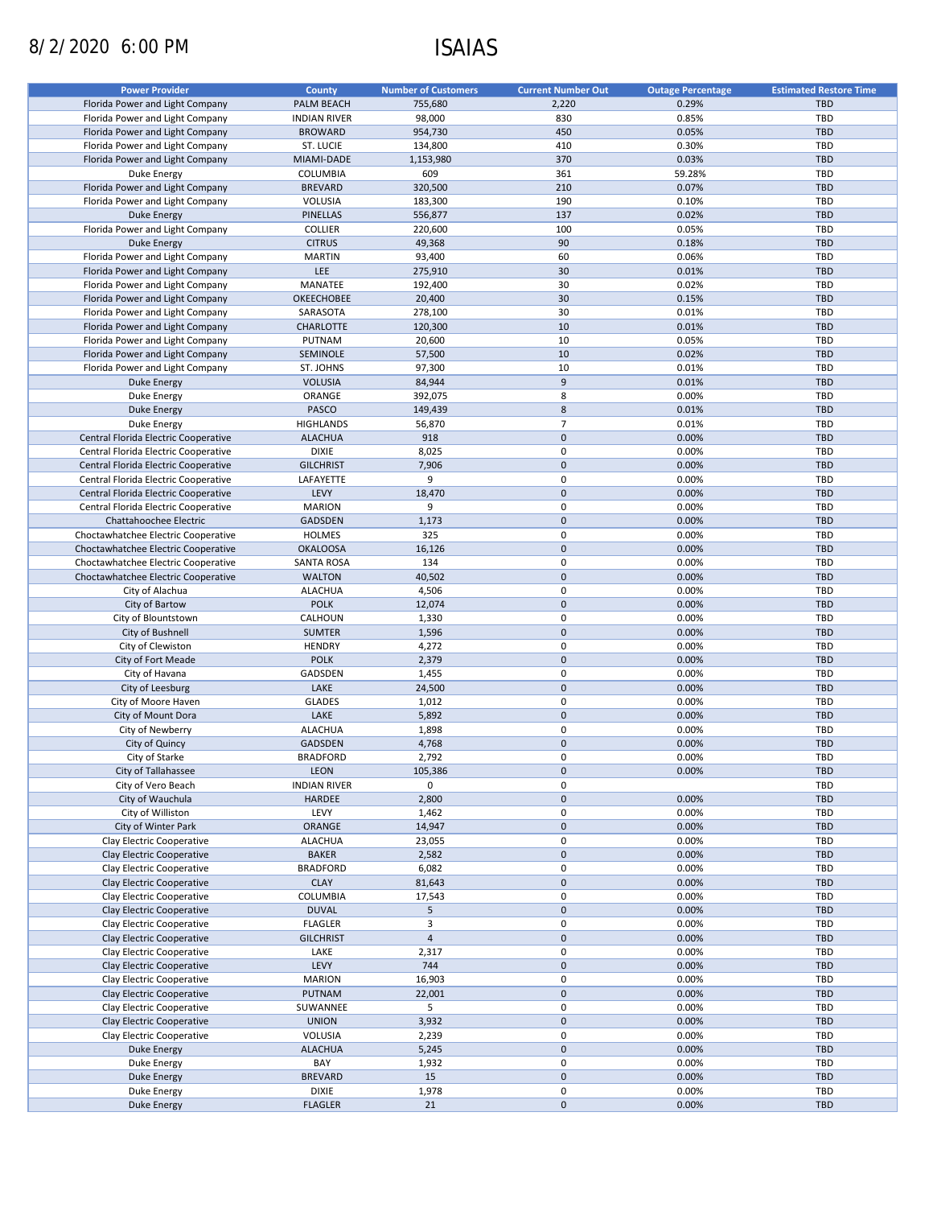# 8/2/2020 6:00 PM ISAIAS

| <b>Power Provider</b>                | <b>County</b>       | <b>Number of Customers</b> | <b>Current Number Out</b> | <b>Outage Percentage</b> | <b>Estimated Restore Time</b> |
|--------------------------------------|---------------------|----------------------------|---------------------------|--------------------------|-------------------------------|
| Florida Power and Light Company      |                     |                            |                           |                          |                               |
|                                      | PALM BEACH          | 755,680                    | 2,220                     | 0.29%                    | <b>TBD</b>                    |
| Florida Power and Light Company      | <b>INDIAN RIVER</b> | 98,000                     | 830                       | 0.85%                    | TBD                           |
| Florida Power and Light Company      | <b>BROWARD</b>      | 954,730                    | 450                       | 0.05%                    | <b>TBD</b>                    |
| Florida Power and Light Company      | ST. LUCIE           | 134,800                    | 410                       | 0.30%                    | TBD                           |
| Florida Power and Light Company      | MIAMI-DADE          | 1,153,980                  | 370                       | 0.03%                    | <b>TBD</b>                    |
| Duke Energy                          | COLUMBIA            | 609                        | 361                       | 59.28%                   | TBD                           |
| Florida Power and Light Company      | <b>BREVARD</b>      | 320,500                    | 210                       | 0.07%                    | <b>TBD</b>                    |
| Florida Power and Light Company      | VOLUSIA             | 183,300                    | 190                       | 0.10%                    | <b>TBD</b>                    |
| <b>Duke Energy</b>                   | <b>PINELLAS</b>     | 556,877                    | 137                       | 0.02%                    | <b>TBD</b>                    |
| Florida Power and Light Company      | COLLIER             | 220,600                    | 100                       | 0.05%                    | <b>TBD</b>                    |
| <b>Duke Energy</b>                   |                     | 49,368                     | 90                        | 0.18%                    | <b>TBD</b>                    |
|                                      | <b>CITRUS</b>       |                            |                           |                          |                               |
| Florida Power and Light Company      | <b>MARTIN</b>       | 93,400                     | 60                        | 0.06%                    | TBD                           |
| Florida Power and Light Company      | <b>LEE</b>          | 275,910                    | 30                        | 0.01%                    | <b>TBD</b>                    |
| Florida Power and Light Company      | MANATEE             | 192,400                    | 30                        | 0.02%                    | TBD                           |
| Florida Power and Light Company      | OKEECHOBEE          | 20,400                     | 30                        | 0.15%                    | <b>TBD</b>                    |
| Florida Power and Light Company      | SARASOTA            | 278,100                    | 30                        | 0.01%                    | <b>TBD</b>                    |
| Florida Power and Light Company      | <b>CHARLOTTE</b>    | 120,300                    | 10                        | 0.01%                    | <b>TBD</b>                    |
| Florida Power and Light Company      | PUTNAM              | 20,600                     | 10                        | 0.05%                    | <b>TBD</b>                    |
| Florida Power and Light Company      | SEMINOLE            | 57,500                     | 10                        | 0.02%                    | <b>TBD</b>                    |
|                                      | ST. JOHNS           | 97,300                     | 10                        | 0.01%                    | <b>TBD</b>                    |
| Florida Power and Light Company      |                     |                            |                           |                          |                               |
| <b>Duke Energy</b>                   | <b>VOLUSIA</b>      | 84,944                     | 9                         | 0.01%                    | <b>TBD</b>                    |
| Duke Energy                          | ORANGE              | 392,075                    | 8                         | 0.00%                    | <b>TBD</b>                    |
| <b>Duke Energy</b>                   | <b>PASCO</b>        | 149,439                    | $\bf 8$                   | 0.01%                    | <b>TBD</b>                    |
| Duke Energy                          | <b>HIGHLANDS</b>    | 56,870                     | $\overline{7}$            | 0.01%                    | TBD                           |
| Central Florida Electric Cooperative | <b>ALACHUA</b>      | 918                        | $\pmb{0}$                 | 0.00%                    | <b>TBD</b>                    |
| Central Florida Electric Cooperative | <b>DIXIE</b>        | 8,025                      | $\mathbf 0$               | 0.00%                    | TBD                           |
| Central Florida Electric Cooperative | <b>GILCHRIST</b>    | 7,906                      | $\pmb{0}$                 | 0.00%                    | <b>TBD</b>                    |
| Central Florida Electric Cooperative | LAFAYETTE           | 9                          | 0                         | 0.00%                    | TBD                           |
|                                      |                     |                            | $\mathbf 0$               |                          |                               |
| Central Florida Electric Cooperative | LEVY                | 18,470                     |                           | 0.00%                    | <b>TBD</b>                    |
| Central Florida Electric Cooperative | <b>MARION</b>       | 9                          | $\mathbf 0$               | 0.00%                    | TBD                           |
| Chattahoochee Electric               | <b>GADSDEN</b>      | 1,173                      | $\pmb{0}$                 | 0.00%                    | <b>TBD</b>                    |
| Choctawhatchee Electric Cooperative  | <b>HOLMES</b>       | 325                        | 0                         | 0.00%                    | <b>TBD</b>                    |
| Choctawhatchee Electric Cooperative  | <b>OKALOOSA</b>     | 16,126                     | $\mathbf 0$               | 0.00%                    | <b>TBD</b>                    |
| Choctawhatchee Electric Cooperative  | <b>SANTA ROSA</b>   | 134                        | 0                         | 0.00%                    | <b>TBD</b>                    |
| Choctawhatchee Electric Cooperative  | <b>WALTON</b>       | 40,502                     | $\pmb{0}$                 | 0.00%                    | <b>TBD</b>                    |
| City of Alachua                      | <b>ALACHUA</b>      | 4,506                      | 0                         | 0.00%                    | <b>TBD</b>                    |
| City of Bartow                       | <b>POLK</b>         | 12,074                     | $\pmb{0}$                 | 0.00%                    | <b>TBD</b>                    |
| City of Blountstown                  | CALHOUN             | 1,330                      | $\pmb{0}$                 | 0.00%                    | <b>TBD</b>                    |
|                                      | <b>SUMTER</b>       |                            | $\mathbf 0$               | 0.00%                    | <b>TBD</b>                    |
| City of Bushnell                     |                     | 1,596                      |                           |                          |                               |
| City of Clewiston                    | <b>HENDRY</b>       | 4,272                      | $\pmb{0}$                 | 0.00%                    | <b>TBD</b>                    |
| City of Fort Meade                   | <b>POLK</b>         | 2,379                      | $\mathbf 0$               | 0.00%                    | <b>TBD</b>                    |
| City of Havana                       | GADSDEN             | 1,455                      | 0                         | 0.00%                    | <b>TBD</b>                    |
| City of Leesburg                     | LAKE                | 24,500                     | $\pmb{0}$                 | 0.00%                    | <b>TBD</b>                    |
| City of Moore Haven                  | <b>GLADES</b>       | 1,012                      | 0                         | 0.00%                    | <b>TBD</b>                    |
| City of Mount Dora                   | LAKE                | 5,892                      | $\pmb{0}$                 | 0.00%                    | <b>TBD</b>                    |
| City of Newberry                     | <b>ALACHUA</b>      | 1,898                      | 0                         | 0.00%                    | <b>TBD</b>                    |
| City of Quincy                       | <b>GADSDEN</b>      | 4,768                      | $\mathbf 0$               | 0.00%                    | <b>TBD</b>                    |
| City of Starke                       | <b>BRADFORD</b>     | 2,792                      | $\mathbf 0$               | 0.00%                    | <b>TBD</b>                    |
|                                      |                     |                            |                           |                          |                               |
| City of Tallahassee                  | LEON                | 105,386                    | $\pmb{0}$                 | 0.00%                    | <b>TBD</b>                    |
| City of Vero Beach                   | <b>INDIAN RIVER</b> | 0                          | 0                         |                          | TBD                           |
| City of Wauchula                     | HARDEE              | 2,800                      | $\pmb{0}$                 | 0.00%                    | <b>TBD</b>                    |
| City of Williston                    | LEVY                | 1,462                      | 0                         | 0.00%                    | TBD                           |
| City of Winter Park                  | ORANGE              | 14,947                     | 0                         | 0.00%                    | TBD                           |
| Clay Electric Cooperative            | <b>ALACHUA</b>      | 23,055                     | 0                         | 0.00%                    | TBD                           |
| Clay Electric Cooperative            | <b>BAKER</b>        | 2,582                      | $\pmb{0}$                 | 0.00%                    | TBD                           |
| Clay Electric Cooperative            | <b>BRADFORD</b>     | 6,082                      | 0                         | 0.00%                    | TBD                           |
| Clay Electric Cooperative            | <b>CLAY</b>         | 81,643                     | 0                         | 0.00%                    | <b>TBD</b>                    |
|                                      | COLUMBIA            |                            | 0                         | 0.00%                    |                               |
| Clay Electric Cooperative            |                     | 17,543                     |                           |                          | TBD                           |
| Clay Electric Cooperative            | <b>DUVAL</b>        | 5                          | $\pmb{0}$                 | 0.00%                    | <b>TBD</b>                    |
| Clay Electric Cooperative            | <b>FLAGLER</b>      | 3                          | 0                         | 0.00%                    | TBD                           |
| Clay Electric Cooperative            | <b>GILCHRIST</b>    | $\overline{4}$             | $\pmb{0}$                 | 0.00%                    | TBD                           |
| Clay Electric Cooperative            | LAKE                | 2,317                      | 0                         | 0.00%                    | <b>TBD</b>                    |
| Clay Electric Cooperative            | LEVY                | 744                        | $\pmb{0}$                 | 0.00%                    | <b>TBD</b>                    |
| Clay Electric Cooperative            | <b>MARION</b>       | 16,903                     | 0                         | 0.00%                    | TBD                           |
| Clay Electric Cooperative            | PUTNAM              | 22,001                     | $\pmb{0}$                 | 0.00%                    | TBD                           |
| Clay Electric Cooperative            | SUWANNEE            | 5                          | 0                         | 0.00%                    | TBD                           |
| Clay Electric Cooperative            | <b>UNION</b>        | 3,932                      | $\pmb{0}$                 | 0.00%                    | TBD                           |
|                                      |                     |                            |                           |                          |                               |
| Clay Electric Cooperative            | VOLUSIA             | 2,239                      | 0                         | 0.00%                    | <b>TBD</b>                    |
| Duke Energy                          | <b>ALACHUA</b>      | 5,245                      | $\pmb{0}$                 | 0.00%                    | TBD                           |
| Duke Energy                          | BAY                 | 1,932                      | 0                         | 0.00%                    | <b>TBD</b>                    |
| <b>Duke Energy</b>                   | <b>BREVARD</b>      | 15                         | $\pmb{0}$                 | 0.00%                    | TBD                           |
| Duke Energy                          | <b>DIXIE</b>        | 1,978                      | 0                         | 0.00%                    | TBD                           |
| <b>Duke Energy</b>                   | <b>FLAGLER</b>      | 21                         | $\pmb{0}$                 | 0.00%                    | <b>TBD</b>                    |
|                                      |                     |                            |                           |                          |                               |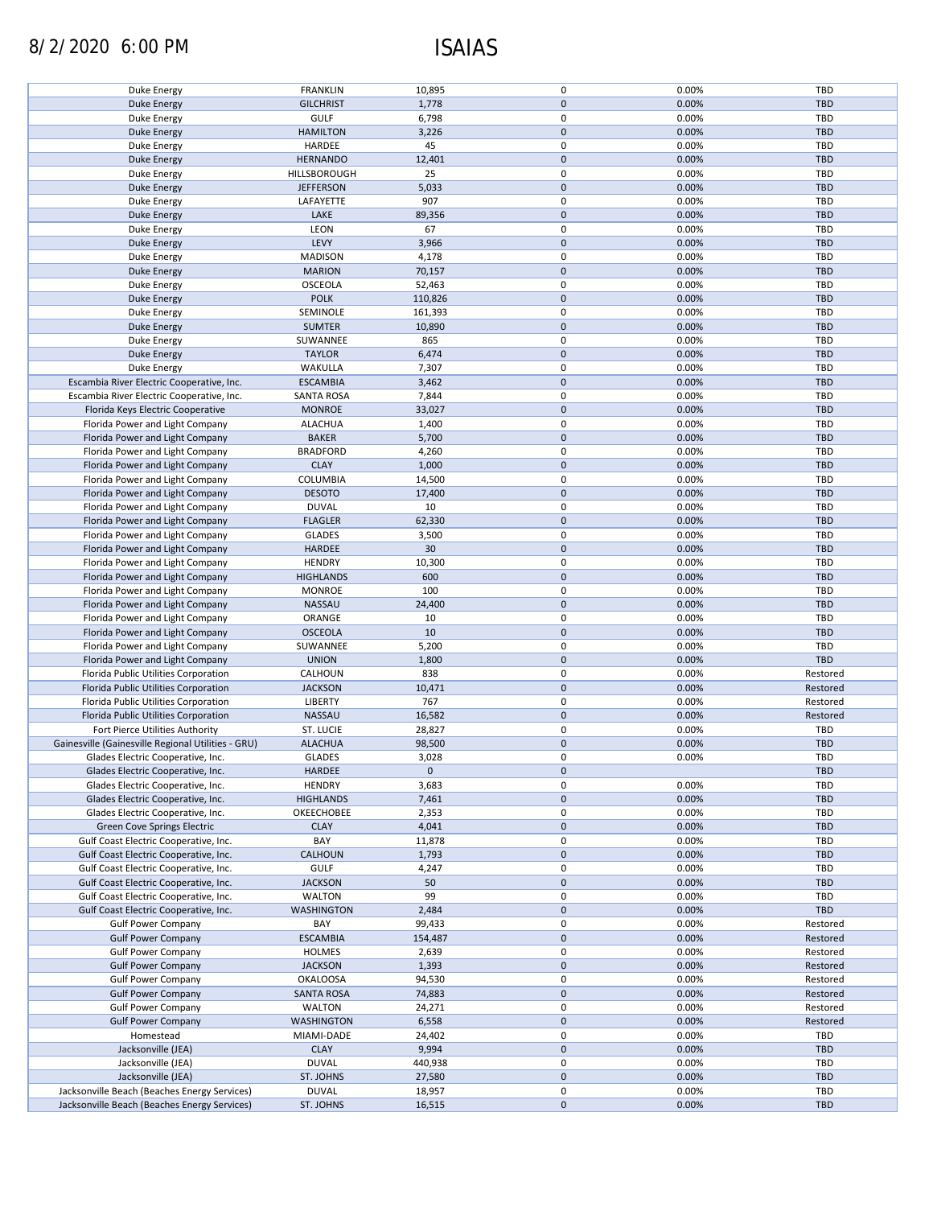# 8/2/2020 6:00 PM ISAIAS

| Duke Energy                                        | <b>FRANKLIN</b>   | 10,895    | 0           | 0.00% | TBD        |
|----------------------------------------------------|-------------------|-----------|-------------|-------|------------|
| <b>Duke Energy</b>                                 | <b>GILCHRIST</b>  | 1,778     | $\mathbf 0$ | 0.00% | <b>TBD</b> |
| Duke Energy                                        | <b>GULF</b>       | 6,798     | 0           | 0.00% | TBD        |
|                                                    |                   |           |             |       |            |
| <b>Duke Energy</b>                                 | <b>HAMILTON</b>   | 3,226     | $\mathbf 0$ | 0.00% | <b>TBD</b> |
| Duke Energy                                        | HARDEE            | 45        | $\mathbf 0$ | 0.00% | TBD        |
| <b>Duke Energy</b>                                 | <b>HERNANDO</b>   | 12,401    | $\mathbf 0$ | 0.00% | <b>TBD</b> |
|                                                    |                   | 25        | $\mathbf 0$ | 0.00% | TBD        |
| Duke Energy                                        | HILLSBOROUGH      |           |             |       |            |
| <b>Duke Energy</b>                                 | <b>JEFFERSON</b>  | 5,033     | $\mathbf 0$ | 0.00% | <b>TBD</b> |
| Duke Energy                                        | LAFAYETTE         | 907       | $\mathbf 0$ | 0.00% | <b>TBD</b> |
| Duke Energy                                        | LAKE              | 89,356    | $\mathbf 0$ | 0.00% | <b>TBD</b> |
|                                                    |                   |           |             |       |            |
| Duke Energy                                        | LEON              | 67        | $\mathbf 0$ | 0.00% | <b>TBD</b> |
| <b>Duke Energy</b>                                 | LEVY              | 3,966     | $\mathbf 0$ | 0.00% | <b>TBD</b> |
| Duke Energy                                        | <b>MADISON</b>    | 4,178     | $\mathbf 0$ | 0.00% | <b>TBD</b> |
|                                                    |                   |           | $\mathbf 0$ |       |            |
| <b>Duke Energy</b>                                 | <b>MARION</b>     | 70,157    |             | 0.00% | <b>TBD</b> |
| Duke Energy                                        | <b>OSCEOLA</b>    | 52,463    | $\pmb{0}$   | 0.00% | <b>TBD</b> |
| <b>Duke Energy</b>                                 | <b>POLK</b>       | 110,826   | $\mathbf 0$ | 0.00% | <b>TBD</b> |
| Duke Energy                                        | SEMINOLE          | 161,393   | $\pmb{0}$   | 0.00% | <b>TBD</b> |
|                                                    |                   |           |             |       |            |
| <b>Duke Energy</b>                                 | <b>SUMTER</b>     | 10,890    | $\mathbf 0$ | 0.00% | <b>TBD</b> |
| Duke Energy                                        | SUWANNEE          | 865       | $\pmb{0}$   | 0.00% | <b>TBD</b> |
| <b>Duke Energy</b>                                 | <b>TAYLOR</b>     | 6,474     | $\pmb{0}$   | 0.00% | TBD        |
|                                                    |                   |           |             |       |            |
| Duke Energy                                        | WAKULLA           | 7,307     | 0           | 0.00% | <b>TBD</b> |
| Escambia River Electric Cooperative, Inc.          | <b>ESCAMBIA</b>   | 3,462     | $\pmb{0}$   | 0.00% | <b>TBD</b> |
| Escambia River Electric Cooperative, Inc.          | <b>SANTA ROSA</b> | 7,844     | $\pmb{0}$   | 0.00% | <b>TBD</b> |
|                                                    |                   |           | $\mathbf 0$ | 0.00% | <b>TBD</b> |
| Florida Keys Electric Cooperative                  | <b>MONROE</b>     | 33,027    |             |       |            |
| Florida Power and Light Company                    | <b>ALACHUA</b>    | 1,400     | $\mathbf 0$ | 0.00% | <b>TBD</b> |
| Florida Power and Light Company                    | <b>BAKER</b>      | 5,700     | $\mathbf 0$ | 0.00% | <b>TBD</b> |
| Florida Power and Light Company                    | <b>BRADFORD</b>   | 4,260     | 0           | 0.00% | TBD        |
|                                                    |                   |           |             |       |            |
| Florida Power and Light Company                    | <b>CLAY</b>       | 1,000     | $\mathbf 0$ | 0.00% | <b>TBD</b> |
| Florida Power and Light Company                    | COLUMBIA          | 14,500    | 0           | 0.00% | TBD        |
| Florida Power and Light Company                    | <b>DESOTO</b>     | 17,400    | $\mathbf 0$ | 0.00% | <b>TBD</b> |
|                                                    |                   |           |             |       |            |
| Florida Power and Light Company                    | <b>DUVAL</b>      | 10        | $\pmb{0}$   | 0.00% | TBD        |
| Florida Power and Light Company                    | <b>FLAGLER</b>    | 62,330    | $\pmb{0}$   | 0.00% | <b>TBD</b> |
| Florida Power and Light Company                    | <b>GLADES</b>     | 3,500     | $\pmb{0}$   | 0.00% | TBD        |
| Florida Power and Light Company                    | HARDEE            | 30        | $\mathbf 0$ | 0.00% | <b>TBD</b> |
|                                                    |                   |           |             |       |            |
| Florida Power and Light Company                    | <b>HENDRY</b>     | 10,300    | $\pmb{0}$   | 0.00% | TBD        |
| Florida Power and Light Company                    | <b>HIGHLANDS</b>  | 600       | $\pmb{0}$   | 0.00% | <b>TBD</b> |
| Florida Power and Light Company                    | <b>MONROE</b>     | 100       | $\pmb{0}$   | 0.00% | TBD        |
|                                                    |                   |           |             |       |            |
| Florida Power and Light Company                    | NASSAU            | 24,400    | $\mathbf 0$ | 0.00% | <b>TBD</b> |
| Florida Power and Light Company                    | ORANGE            | 10        | 0           | 0.00% | TBD        |
| Florida Power and Light Company                    | <b>OSCEOLA</b>    | 10        | $\mathbf 0$ | 0.00% | <b>TBD</b> |
|                                                    |                   |           | 0           | 0.00% | <b>TBD</b> |
| Florida Power and Light Company                    | SUWANNEE          | 5,200     |             |       |            |
| Florida Power and Light Company                    | <b>UNION</b>      | 1,800     | $\mathbf 0$ | 0.00% | <b>TBD</b> |
| Florida Public Utilities Corporation               | CALHOUN           | 838       | 0           | 0.00% | Restored   |
| Florida Public Utilities Corporation               | <b>JACKSON</b>    | 10,471    | $\mathbf 0$ | 0.00% | Restored   |
|                                                    |                   |           |             |       |            |
| Florida Public Utilities Corporation               | <b>LIBERTY</b>    | 767       | $\mathbf 0$ | 0.00% | Restored   |
| Florida Public Utilities Corporation               | NASSAU            | 16,582    | $\mathbf 0$ | 0.00% | Restored   |
| Fort Pierce Utilities Authority                    | <b>ST. LUCIE</b>  | 28,827    | 0           | 0.00% | TBD        |
|                                                    |                   |           |             |       |            |
| Gainesville (Gainesville Regional Utilities - GRU) | <b>ALACHUA</b>    | 98,500    | $\mathbf 0$ | 0.00% | <b>TBD</b> |
| Glades Electric Cooperative, Inc.                  | <b>GLADES</b>     | 3,028     | $\mathbf 0$ | 0.00% | TBD        |
| Glades Electric Cooperative, Inc.                  | <b>HARDEE</b>     | $\pmb{0}$ | $\mathbf 0$ |       | TBD        |
|                                                    |                   |           |             |       |            |
| Glades Electric Cooperative, Inc.                  | <b>HENDRY</b>     | 3,683     | 0           | 0.00% | TBD        |
| Glades Electric Cooperative, Inc.                  | <b>HIGHLANDS</b>  | 7,461     | $\mathbf 0$ | 0.00% | <b>TBD</b> |
| Glades Electric Cooperative, Inc.                  | <b>OKEECHOBEE</b> | 2,353     | 0           | 0.00% | TBD        |
| <b>Green Cove Springs Electric</b>                 | <b>CLAY</b>       | 4,041     | $\pmb{0}$   | 0.00% | <b>TBD</b> |
|                                                    |                   |           |             |       |            |
| Gulf Coast Electric Cooperative, Inc.              | BAY               | 11,878    | 0           | 0.00% | TBD        |
| Gulf Coast Electric Cooperative, Inc.              | CALHOUN           | 1,793     | $\pmb{0}$   | 0.00% | <b>TBD</b> |
| Gulf Coast Electric Cooperative, Inc.              | <b>GULF</b>       | 4,247     | 0           | 0.00% | TBD        |
|                                                    |                   |           |             |       |            |
| Gulf Coast Electric Cooperative, Inc.              | <b>JACKSON</b>    | 50        | $\pmb{0}$   | 0.00% | <b>TBD</b> |
| Gulf Coast Electric Cooperative, Inc.              | <b>WALTON</b>     | 99        | 0           | 0.00% | TBD        |
| Gulf Coast Electric Cooperative, Inc.              | <b>WASHINGTON</b> | 2,484     | $\pmb{0}$   | 0.00% | TBD        |
| <b>Gulf Power Company</b>                          | BAY               | 99,433    | 0           | 0.00% | Restored   |
|                                                    |                   |           |             |       |            |
| <b>Gulf Power Company</b>                          | <b>ESCAMBIA</b>   | 154,487   | $\pmb{0}$   | 0.00% | Restored   |
| <b>Gulf Power Company</b>                          | <b>HOLMES</b>     | 2,639     | 0           | 0.00% | Restored   |
| <b>Gulf Power Company</b>                          | <b>JACKSON</b>    | 1,393     | $\pmb{0}$   | 0.00% | Restored   |
|                                                    |                   |           |             |       |            |
| <b>Gulf Power Company</b>                          | <b>OKALOOSA</b>   | 94,530    | 0           | 0.00% | Restored   |
| <b>Gulf Power Company</b>                          | <b>SANTA ROSA</b> | 74,883    | $\pmb{0}$   | 0.00% | Restored   |
| <b>Gulf Power Company</b>                          | <b>WALTON</b>     | 24,271    | 0           | 0.00% | Restored   |
| <b>Gulf Power Company</b>                          |                   |           | $\pmb{0}$   |       |            |
|                                                    | <b>WASHINGTON</b> | 6,558     |             | 0.00% | Restored   |
| Homestead                                          | MIAMI-DADE        | 24,402    | 0           | 0.00% | TBD        |
| Jacksonville (JEA)                                 | <b>CLAY</b>       | 9,994     | $\pmb{0}$   | 0.00% | <b>TBD</b> |
| Jacksonville (JEA)                                 | <b>DUVAL</b>      | 440,938   | 0           | 0.00% | TBD        |
|                                                    |                   |           |             |       |            |
| Jacksonville (JEA)                                 | ST. JOHNS         | 27,580    | 0           | 0.00% | <b>TBD</b> |
| Jacksonville Beach (Beaches Energy Services)       | <b>DUVAL</b>      | 18,957    | 0           | 0.00% | TBD        |
| Jacksonville Beach (Beaches Energy Services)       | ST. JOHNS         | 16,515    | $\pmb{0}$   | 0.00% | <b>TBD</b> |
|                                                    |                   |           |             |       |            |